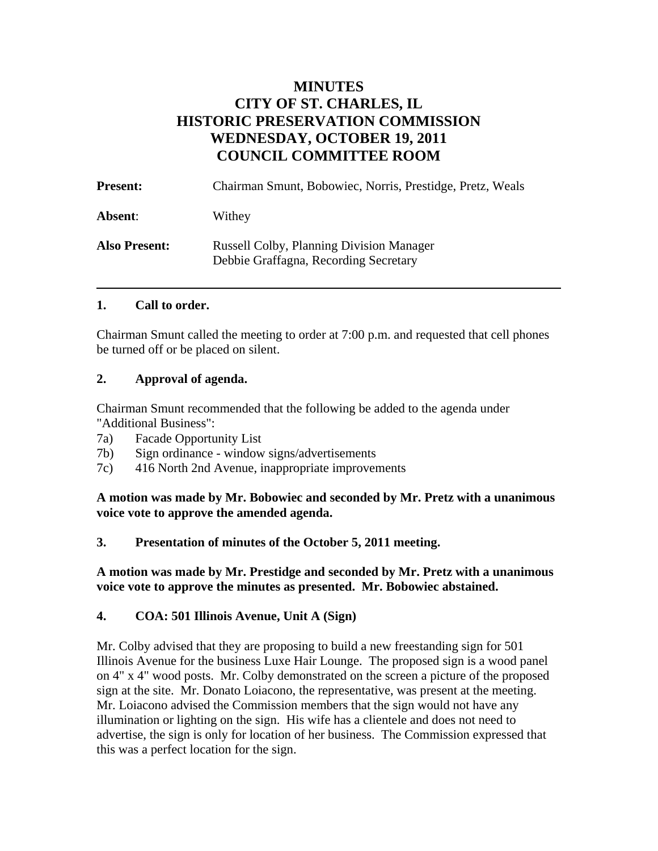# **MINUTES CITY OF ST. CHARLES, IL HISTORIC PRESERVATION COMMISSION WEDNESDAY, OCTOBER 19, 2011 COUNCIL COMMITTEE ROOM**

| <b>Present:</b>      | Chairman Smunt, Bobowiec, Norris, Prestidge, Pretz, Weals                                |
|----------------------|------------------------------------------------------------------------------------------|
| Absent:              | Withey                                                                                   |
| <b>Also Present:</b> | <b>Russell Colby, Planning Division Manager</b><br>Debbie Graffagna, Recording Secretary |

### **1. Call to order.**

Chairman Smunt called the meeting to order at 7:00 p.m. and requested that cell phones be turned off or be placed on silent.

### **2. Approval of agenda.**

Chairman Smunt recommended that the following be added to the agenda under "Additional Business":

- 7a) Facade Opportunity List
- 7b) Sign ordinance window signs/advertisements
- 7c) 416 North 2nd Avenue, inappropriate improvements

**A motion was made by Mr. Bobowiec and seconded by Mr. Pretz with a unanimous voice vote to approve the amended agenda.** 

#### **3. Presentation of minutes of the October 5, 2011 meeting.**

**A motion was made by Mr. Prestidge and seconded by Mr. Pretz with a unanimous voice vote to approve the minutes as presented. Mr. Bobowiec abstained.** 

### **4. COA: 501 Illinois Avenue, Unit A (Sign)**

Mr. Colby advised that they are proposing to build a new freestanding sign for 501 Illinois Avenue for the business Luxe Hair Lounge. The proposed sign is a wood panel on 4" x 4" wood posts. Mr. Colby demonstrated on the screen a picture of the proposed sign at the site. Mr. Donato Loiacono, the representative, was present at the meeting. Mr. Loiacono advised the Commission members that the sign would not have any illumination or lighting on the sign. His wife has a clientele and does not need to advertise, the sign is only for location of her business. The Commission expressed that this was a perfect location for the sign.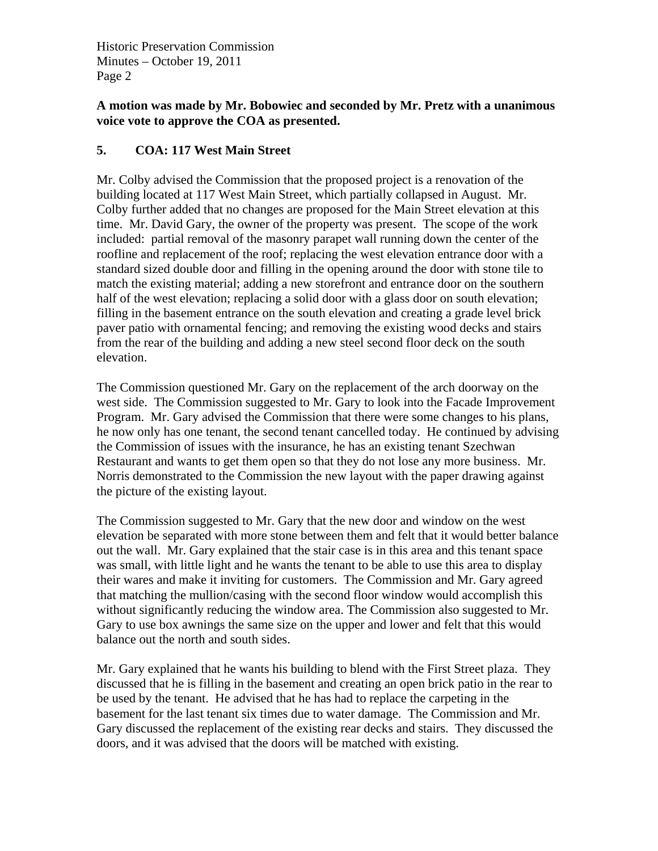Historic Preservation Commission Minutes – October 19, 2011 Page 2

### **A motion was made by Mr. Bobowiec and seconded by Mr. Pretz with a unanimous voice vote to approve the COA as presented.**

## **5. COA: 117 West Main Street**

Mr. Colby advised the Commission that the proposed project is a renovation of the building located at 117 West Main Street, which partially collapsed in August. Mr. Colby further added that no changes are proposed for the Main Street elevation at this time. Mr. David Gary, the owner of the property was present. The scope of the work included: partial removal of the masonry parapet wall running down the center of the roofline and replacement of the roof; replacing the west elevation entrance door with a standard sized double door and filling in the opening around the door with stone tile to match the existing material; adding a new storefront and entrance door on the southern half of the west elevation; replacing a solid door with a glass door on south elevation; filling in the basement entrance on the south elevation and creating a grade level brick paver patio with ornamental fencing; and removing the existing wood decks and stairs from the rear of the building and adding a new steel second floor deck on the south elevation.

The Commission questioned Mr. Gary on the replacement of the arch doorway on the west side. The Commission suggested to Mr. Gary to look into the Facade Improvement Program. Mr. Gary advised the Commission that there were some changes to his plans, he now only has one tenant, the second tenant cancelled today. He continued by advising the Commission of issues with the insurance, he has an existing tenant Szechwan Restaurant and wants to get them open so that they do not lose any more business. Mr. Norris demonstrated to the Commission the new layout with the paper drawing against the picture of the existing layout.

The Commission suggested to Mr. Gary that the new door and window on the west elevation be separated with more stone between them and felt that it would better balance out the wall. Mr. Gary explained that the stair case is in this area and this tenant space was small, with little light and he wants the tenant to be able to use this area to display their wares and make it inviting for customers. The Commission and Mr. Gary agreed that matching the mullion/casing with the second floor window would accomplish this without significantly reducing the window area. The Commission also suggested to Mr. Gary to use box awnings the same size on the upper and lower and felt that this would balance out the north and south sides.

Mr. Gary explained that he wants his building to blend with the First Street plaza. They discussed that he is filling in the basement and creating an open brick patio in the rear to be used by the tenant. He advised that he has had to replace the carpeting in the basement for the last tenant six times due to water damage. The Commission and Mr. Gary discussed the replacement of the existing rear decks and stairs. They discussed the doors, and it was advised that the doors will be matched with existing.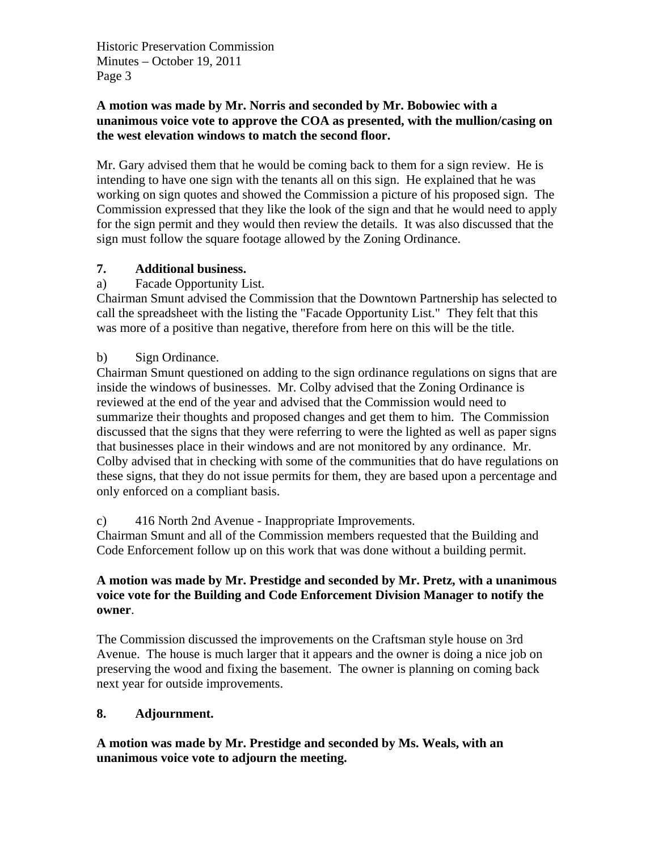Historic Preservation Commission Minutes – October 19, 2011 Page 3

#### **A motion was made by Mr. Norris and seconded by Mr. Bobowiec with a unanimous voice vote to approve the COA as presented, with the mullion/casing on the west elevation windows to match the second floor.**

Mr. Gary advised them that he would be coming back to them for a sign review. He is intending to have one sign with the tenants all on this sign. He explained that he was working on sign quotes and showed the Commission a picture of his proposed sign. The Commission expressed that they like the look of the sign and that he would need to apply for the sign permit and they would then review the details. It was also discussed that the sign must follow the square footage allowed by the Zoning Ordinance.

## **7. Additional business.**

a) Facade Opportunity List.

Chairman Smunt advised the Commission that the Downtown Partnership has selected to call the spreadsheet with the listing the "Facade Opportunity List." They felt that this was more of a positive than negative, therefore from here on this will be the title.

## b) Sign Ordinance.

Chairman Smunt questioned on adding to the sign ordinance regulations on signs that are inside the windows of businesses. Mr. Colby advised that the Zoning Ordinance is reviewed at the end of the year and advised that the Commission would need to summarize their thoughts and proposed changes and get them to him. The Commission discussed that the signs that they were referring to were the lighted as well as paper signs that businesses place in their windows and are not monitored by any ordinance. Mr. Colby advised that in checking with some of the communities that do have regulations on these signs, that they do not issue permits for them, they are based upon a percentage and only enforced on a compliant basis.

### c) 416 North 2nd Avenue - Inappropriate Improvements.

Chairman Smunt and all of the Commission members requested that the Building and Code Enforcement follow up on this work that was done without a building permit.

### **A motion was made by Mr. Prestidge and seconded by Mr. Pretz, with a unanimous voice vote for the Building and Code Enforcement Division Manager to notify the owner**.

The Commission discussed the improvements on the Craftsman style house on 3rd Avenue. The house is much larger that it appears and the owner is doing a nice job on preserving the wood and fixing the basement. The owner is planning on coming back next year for outside improvements.

### **8. Adjournment.**

### **A motion was made by Mr. Prestidge and seconded by Ms. Weals, with an unanimous voice vote to adjourn the meeting.**